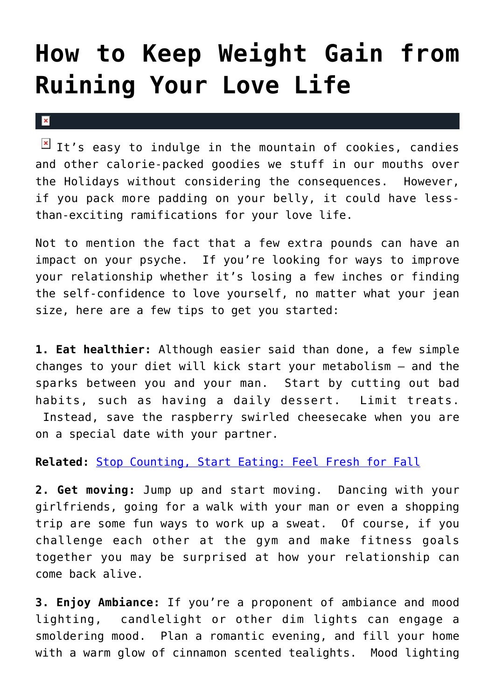## **[How to Keep Weight Gain from](https://cupidspulse.com/23676/keep-weight-gain-killing-intimacy-self-confidence/) [Ruining Your Love Life](https://cupidspulse.com/23676/keep-weight-gain-killing-intimacy-self-confidence/)**

## $\mathbf{x}$

It's easy to indulge in the mountain of cookies, candies and other calorie-packed goodies we stuff in our mouths over the Holidays without considering the consequences. However, if you pack more padding on your belly, it could have lessthan-exciting ramifications for your love life.

Not to mention the fact that a few extra pounds can have an impact on your psyche. If you're looking for ways to improve your relationship whether it's losing a few inches or finding the self-confidence to love yourself, no matter what your jean size, here are a few tips to get you started:

**1. Eat healthier:** Although easier said than done, a few simple changes to your diet will kick start your metabolism — and the sparks between you and your man. Start by cutting out bad habits, such as having a daily dessert. Limit treats. Instead, save the raspberry swirled cheesecake when you are on a special date with your partner.

## **Related:** [Stop Counting, Start Eating: Feel Fresh for Fall](http://cupidspulse.com/losing-weight-celebrity-style-with-the-fresh-diet/)

**2. Get moving:** Jump up and start moving. Dancing with your girlfriends, going for a walk with your man or even a shopping trip are some fun ways to work up a sweat. Of course, if you challenge each other at the gym and make fitness goals together you may be surprised at how your relationship can come back alive.

**3. Enjoy Ambiance:** If you're a proponent of ambiance and mood lighting, candlelight or other dim lights can engage a smoldering mood. Plan a romantic evening, and fill your home with a warm glow of cinnamon scented tealights. Mood lighting